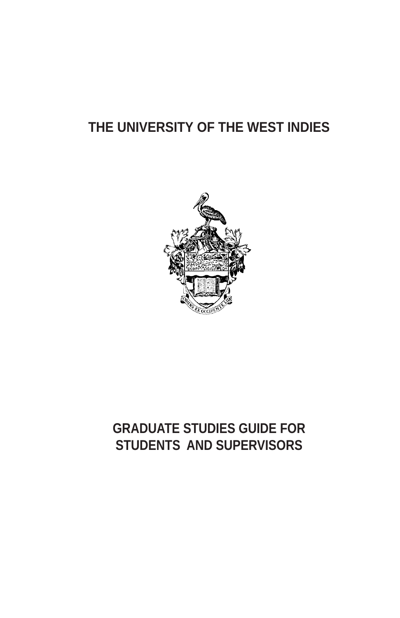# **THE UNIVERSITY OF THE WEST INDIES**



## **GRADUATE STUDIES GUIDE FOR STUDENTS AND SUPERVISORS**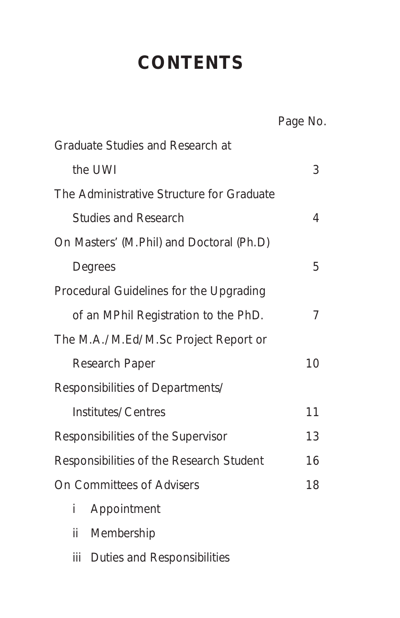# **CONTENTS**

|                                           | Page No. |
|-------------------------------------------|----------|
| <b>Graduate Studies and Research at</b>   |          |
| the UWI                                   | 3        |
| The Administrative Structure for Graduate |          |
| <b>Studies and Research</b>               | 4        |
| On Masters' (M.Phil) and Doctoral (Ph.D)  |          |
| Degrees                                   | 5        |
| Procedural Guidelines for the Upgrading   |          |
| of an MPhil Registration to the PhD.      | 7        |
| The M.A./M.Ed/M.Sc Project Report or      |          |
| <b>Research Paper</b>                     | 10       |
| Responsibilities of Departments/          |          |
| Institutes/Centres                        | 11       |
| Responsibilities of the Supervisor        | 13       |
| Responsibilities of the Research Student  | 16       |
| <b>On Committees of Advisers</b>          | 18       |
| i<br>Appointment                          |          |
| ii<br>Membership                          |          |

iii Duties and Responsibilities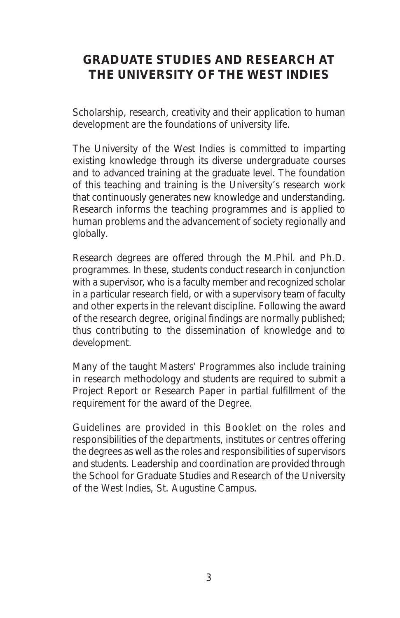### **GRADUATE STUDIES AND RESEARCH AT THE UNIVERSITY OF THE WEST INDIES**

Scholarship, research, creativity and their application to human development are the foundations of university life.

The University of the West Indies is committed to imparting existing knowledge through its diverse undergraduate courses and to advanced training at the graduate level. The foundation of this teaching and training is the University's research work that continuously generates new knowledge and understanding. Research informs the teaching programmes and is applied to human problems and the advancement of society regionally and globally.

Research degrees are offered through the M.Phil. and Ph.D. programmes. In these, students conduct research in conjunction with a supervisor, who is a faculty member and recognized scholar in a particular research field, or with a supervisory team of faculty and other experts in the relevant discipline. Following the award of the research degree, original findings are normally published; thus contributing to the dissemination of knowledge and to development.

Many of the taught Masters' Programmes also include training in research methodology and students are required to submit a Project Report or Research Paper in partial fulfillment of the requirement for the award of the Degree.

Guidelines are provided in this Booklet on the roles and responsibilities of the departments, institutes or centres offering the degrees as well as the roles and responsibilities of supervisors and students. Leadership and coordination are provided through the School for Graduate Studies and Research of the University of the West Indies, St. Augustine Campus.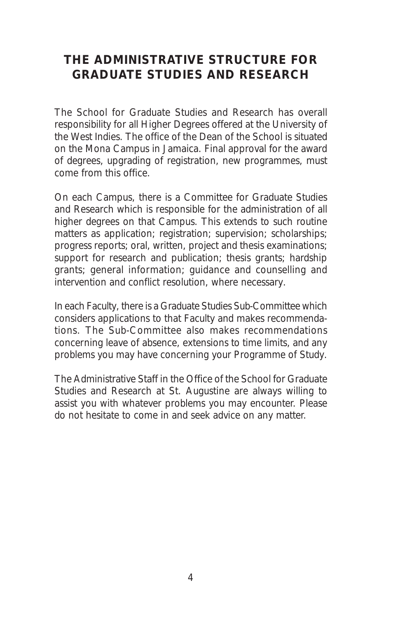### **THE ADMINISTRATIVE STRUCTURE FOR GRADUATE STUDIES AND RESEARCH**

The School for Graduate Studies and Research has overall responsibility for all Higher Degrees offered at the University of the West Indies. The office of the Dean of the School is situated on the Mona Campus in Jamaica. Final approval for the award of degrees, upgrading of registration, new programmes, must come from this office.

On each Campus, there is a Committee for Graduate Studies and Research which is responsible for the administration of all higher degrees on that Campus. This extends to such routine matters as application; registration; supervision; scholarships; progress reports; oral, written, project and thesis examinations; support for research and publication; thesis grants; hardship grants; general information; guidance and counselling and intervention and conflict resolution, where necessary.

In each Faculty, there is a Graduate Studies Sub-Committee which considers applications to that Faculty and makes recommendations. The Sub-Committee also makes recommendations concerning leave of absence, extensions to time limits, and any problems you may have concerning your Programme of Study.

The Administrative Staff in the Office of the School for Graduate Studies and Research at St. Augustine are always willing to assist you with whatever problems you may encounter. Please do not hesitate to come in and seek advice on any matter.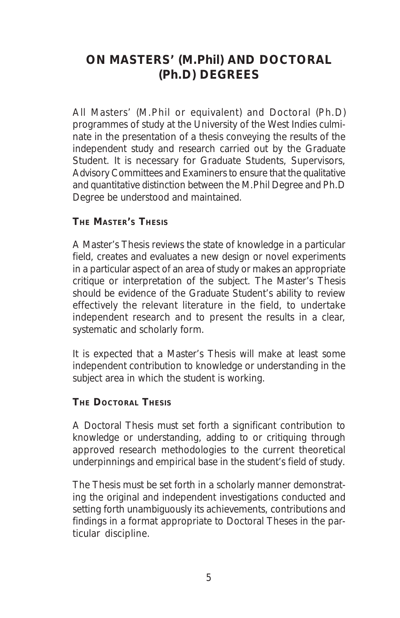### **ON MASTERS' (M.Phil) AND DOCTORAL (Ph.D) DEGREES**

All Masters' (M.Phil or equivalent) and Doctoral (Ph.D) programmes of study at the University of the West Indies culminate in the presentation of a thesis conveying the results of the independent study and research carried out by the Graduate Student. It is necessary for Graduate Students, Supervisors, Advisory Committees and Examiners to ensure that the qualitative and quantitative distinction between the M.Phil Degree and Ph.D Degree be understood and maintained.

#### **THE MASTER'S THESIS**

A Master's Thesis reviews the state of knowledge in a particular field, creates and evaluates a new design or novel experiments in a particular aspect of an area of study or makes an appropriate critique or interpretation of the subject. The Master's Thesis should be evidence of the Graduate Student's ability to review effectively the relevant literature in the field, to undertake independent research and to present the results in a clear, systematic and scholarly form.

It is expected that a Master's Thesis will make at least some independent contribution to knowledge or understanding in the subject area in which the student is working.

#### **THE DOCTORAL THESIS**

A Doctoral Thesis must set forth a significant contribution to knowledge or understanding, adding to or critiquing through approved research methodologies to the current theoretical underpinnings and empirical base in the student's field of study.

The Thesis must be set forth in a scholarly manner demonstrating the original and independent investigations conducted and setting forth unambiguously its achievements, contributions and findings in a format appropriate to Doctoral Theses in the particular discipline.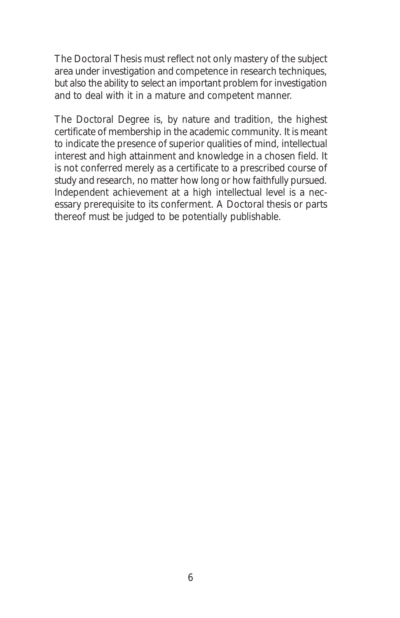The Doctoral Thesis must reflect not only mastery of the subject area under investigation and competence in research techniques, but also the ability to select an important problem for investigation and to deal with it in a mature and competent manner.

The Doctoral Degree is, by nature and tradition, the highest certificate of membership in the academic community. It is meant to indicate the presence of superior qualities of mind, intellectual interest and high attainment and knowledge in a chosen field. It is not conferred merely as a certificate to a prescribed course of study and research, no matter how long or how faithfully pursued. Independent achievement at a high intellectual level is a necessary prerequisite to its conferment. A Doctoral thesis or parts thereof must be judged to be potentially publishable.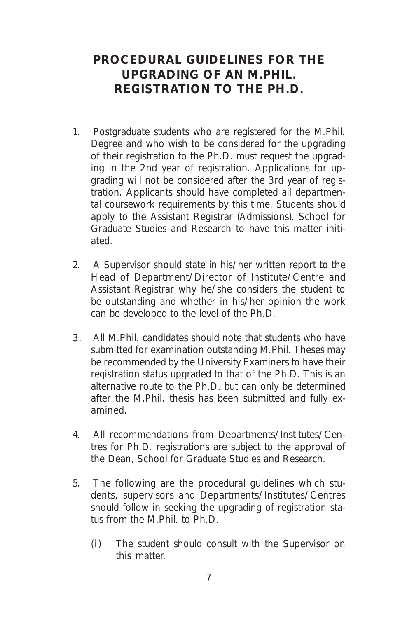#### **PROCEDURAL GUIDELINES FOR THE UPGRADING OF AN M.PHIL. REGISTRATION TO THE PH.D.**

- 1. Postgraduate students who are registered for the M.Phil. Degree and who wish to be considered for the upgrading of their registration to the Ph.D. must request the upgrading in the 2nd year of registration. Applications for upgrading will not be considered after the 3rd year of registration. Applicants should have completed all departmental coursework requirements by this time. Students should apply to the Assistant Registrar (Admissions), School for Graduate Studies and Research to have this matter initiated.
- 2. A Supervisor should state in his/her written report to the Head of Department/Director of Institute/Centre and Assistant Registrar why he/she considers the student to be outstanding and whether in his/her opinion the work can be developed to the level of the Ph.D.
- 3. All M.Phil. candidates should note that students who have submitted for examination outstanding M.Phil. Theses may be recommended by the University Examiners to have their registration status upgraded to that of the Ph.D. This is an alternative route to the Ph.D. but can only be determined after the M.Phil. thesis has been submitted and fully examined.
- 4. All recommendations from Departments/Institutes/Centres for Ph.D. registrations are subject to the approval of the Dean, School for Graduate Studies and Research.
- 5. The following are the procedural guidelines which students, supervisors and Departments/Institutes/Centres should follow in seeking the upgrading of registration status from the M.Phil. to Ph.D.
	- (i) The student should consult with the Supervisor on this matter.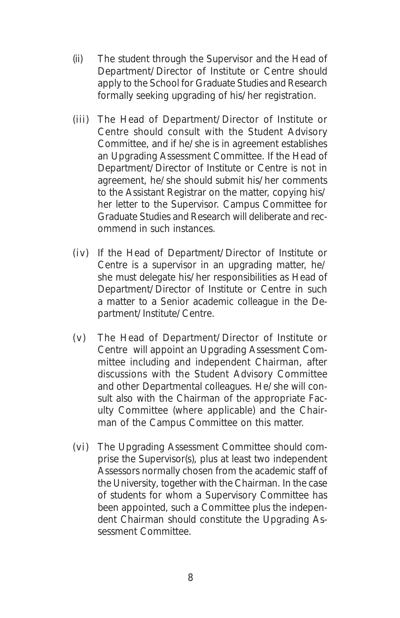- (ii) The student through the Supervisor and the Head of Department/Director of Institute or Centre should apply to the School for Graduate Studies and Research formally seeking upgrading of his/her registration.
- (iii) The Head of Department/Director of Institute or Centre should consult with the Student Advisory Committee, and if he/she is in agreement establishes an Upgrading Assessment Committee. If the Head of Department/Director of Institute or Centre is not in agreement, he/she should submit his/her comments to the Assistant Registrar on the matter, copying his/ her letter to the Supervisor. Campus Committee for Graduate Studies and Research will deliberate and recommend in such instances.
- (iv) If the Head of Department/Director of Institute or Centre is a supervisor in an upgrading matter, he/ she must delegate his/her responsibilities as Head of Department/Director of Institute or Centre in such a matter to a Senior academic colleague in the Department/Institute/Centre.
- (v) The Head of Department/Director of Institute or Centre will appoint an Upgrading Assessment Committee including and independent Chairman, after discussions with the Student Advisory Committee and other Departmental colleagues. He/she will consult also with the Chairman of the appropriate Faculty Committee (where applicable) and the Chairman of the Campus Committee on this matter.
- (vi) The Upgrading Assessment Committee should comprise the Supervisor(s), plus at least two independent Assessors normally chosen from the academic staff of the University, together with the Chairman. In the case of students for whom a Supervisory Committee has been appointed, such a Committee plus the independent Chairman should constitute the Upgrading Assessment Committee.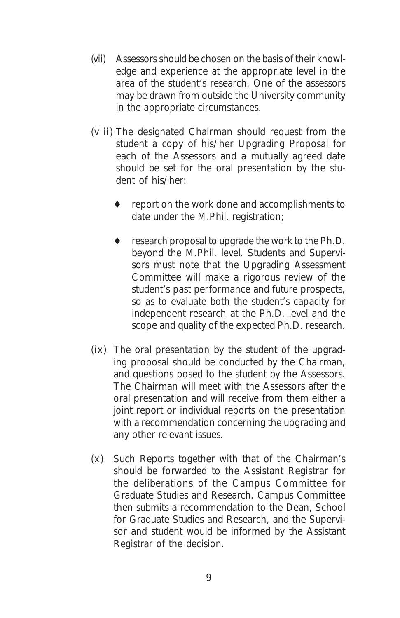- (vii) Assessors should be chosen on the basis of their knowledge and experience at the appropriate level in the area of the student's research. One of the assessors may be drawn from outside the University community in the appropriate circumstances.
- (viii) The designated Chairman should request from the student a copy of his/her Upgrading Proposal for each of the Assessors and a mutually agreed date should be set for the oral presentation by the student of his/her:
	- report on the work done and accomplishments to date under the M.Phil. registration;
	- research proposal to upgrade the work to the Ph.D. beyond the M.Phil. level. Students and Supervisors must note that the Upgrading Assessment Committee will make a rigorous review of the student's past performance and future prospects, so as to evaluate both the student's capacity for independent research at the Ph.D. level and the scope and quality of the expected Ph.D. research.
- (ix) The oral presentation by the student of the upgrading proposal should be conducted by the Chairman, and questions posed to the student by the Assessors. The Chairman will meet with the Assessors after the oral presentation and will receive from them either a joint report or individual reports on the presentation with a recommendation concerning the upgrading and any other relevant issues.
- (x) Such Reports together with that of the Chairman's should be forwarded to the Assistant Registrar for the deliberations of the Campus Committee for Graduate Studies and Research. Campus Committee then submits a recommendation to the Dean, School for Graduate Studies and Research, and the Supervisor and student would be informed by the Assistant Registrar of the decision.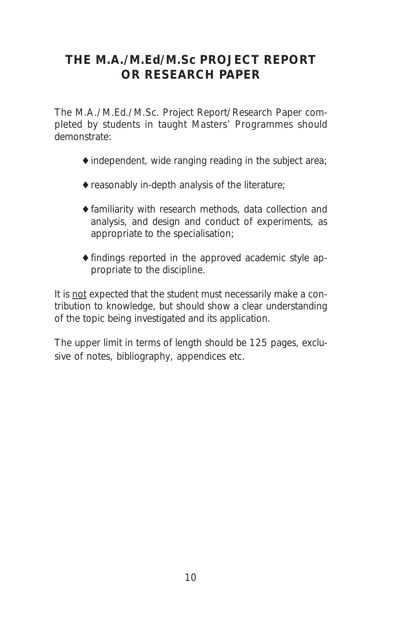### **THE M.A./M.Ed/M.Sc PROJECT REPORT OR RESEARCH PAPER**

The M.A./M.Ed./M.Sc. Project Report/Research Paper completed by students in taught Masters' Programmes should demonstrate:

- $\triangle$  independent, wide ranging reading in the subject area;
- $\blacklozenge$  reasonably in-depth analysis of the literature;
- ♦familiarity with research methods, data collection and analysis, and design and conduct of experiments, as appropriate to the specialisation;
- ♦findings reported in the approved academic style appropriate to the discipline.

It is not expected that the student must necessarily make a contribution to knowledge, but should show a clear understanding of the topic being investigated and its application.

The upper limit in terms of length should be 125 pages, exclusive of notes, bibliography, appendices etc.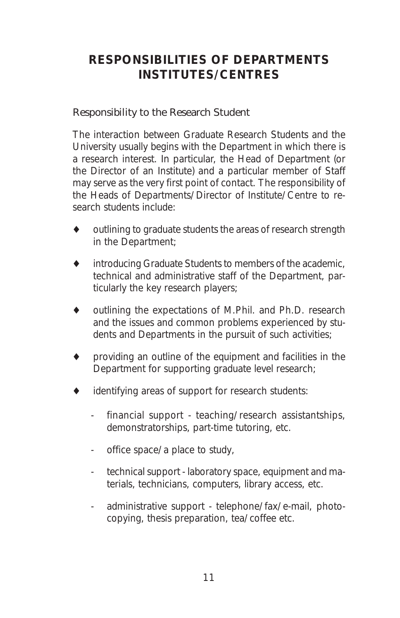### **RESPONSIBILITIES OF DEPARTMENTS INSTITUTES/CENTRES**

#### *Responsibility to the Research Student*

The interaction between Graduate Research Students and the University usually begins with the Department in which there is a research interest. In particular, the Head of Department (or the Director of an Institute) and a particular member of Staff may serve as the very first point of contact. The responsibility of the Heads of Departments/Director of Institute/Centre to research students include:

- outlining to graduate students the areas of research strength in the Department;
- ♦ introducing Graduate Students to members of the academic, technical and administrative staff of the Department, particularly the key research players;
- outlining the expectations of M.Phil. and Ph.D. research and the issues and common problems experienced by students and Departments in the pursuit of such activities;
- providing an outline of the equipment and facilities in the Department for supporting graduate level research;
- identifying areas of support for research students:
	- financial support teaching/research assistantships, demonstratorships, part-time tutoring, etc.
	- office space/a place to study,
	- technical support laboratory space, equipment and materials, technicians, computers, library access, etc.
	- administrative support telephone/fax/e-mail, photocopying, thesis preparation, tea/coffee etc.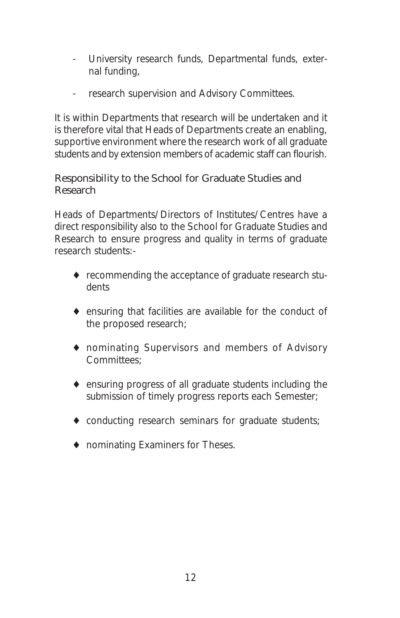- University research funds, Departmental funds, external funding,
- research supervision and Advisory Committees.

It is within Departments that research will be undertaken and it is therefore vital that Heads of Departments create an enabling, supportive environment where the research work of all graduate students and by extension members of academic staff can flourish.

#### *Responsibility to the School for Graduate Studies and Research*

Heads of Departments/Directors of Institutes/Centres have a direct responsibility also to the School for Graduate Studies and Research to ensure progress and quality in terms of graduate research students:-

- ♦ recommending the acceptance of graduate research students
- ♦ ensuring that facilities are available for the conduct of the proposed research;
- ♦ nominating Supervisors and members of Advisory Committees;
- ♦ ensuring progress of all graduate students including the submission of timely progress reports each Semester;
- ♦ conducting research seminars for graduate students;
- ♦ nominating Examiners for Theses.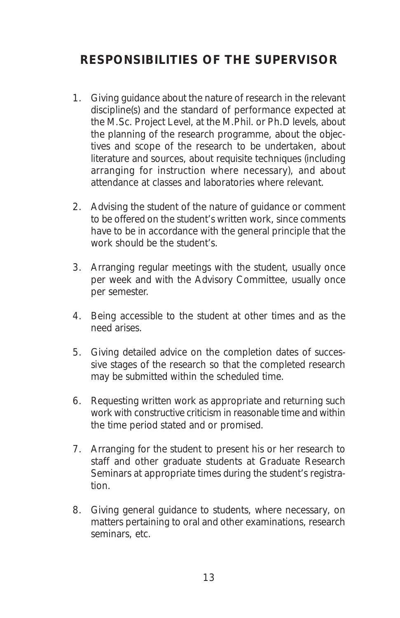### **RESPONSIBILITIES OF THE SUPERVISOR**

- 1. Giving guidance about the nature of research in the relevant discipline(s) and the standard of performance expected at the M.Sc. Project Level, at the M.Phil. or Ph.D levels, about the planning of the research programme, about the objectives and scope of the research to be undertaken, about literature and sources, about requisite techniques (including arranging for instruction where necessary), and about attendance at classes and laboratories where relevant.
- 2. Advising the student of the nature of guidance or comment to be offered on the student's written work, since comments have to be in accordance with the general principle that the work should be the student's.
- 3. Arranging regular meetings with the student, usually once per week and with the Advisory Committee, usually once per semester.
- 4. Being accessible to the student at other times and as the need arises.
- 5. Giving detailed advice on the completion dates of successive stages of the research so that the completed research may be submitted within the scheduled time.
- 6. Requesting written work as appropriate and returning such work with constructive criticism in reasonable time and within the time period stated and or promised.
- 7. Arranging for the student to present his or her research to staff and other graduate students at Graduate Research Seminars at appropriate times during the student's registration.
- 8. Giving general guidance to students, where necessary, on matters pertaining to oral and other examinations, research seminars, etc.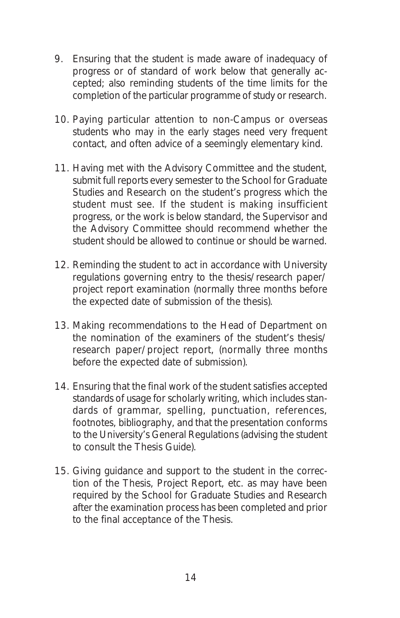- 9. Ensuring that the student is made aware of inadequacy of progress or of standard of work below that generally accepted; also reminding students of the time limits for the completion of the particular programme of study or research.
- 10. Paying particular attention to non-Campus or overseas students who may in the early stages need very frequent contact, and often advice of a seemingly elementary kind.
- 11. Having met with the Advisory Committee and the student, submit full reports every semester to the School for Graduate Studies and Research on the student's progress which the student must see. If the student is making insufficient progress, or the work is below standard, the Supervisor and the Advisory Committee should recommend whether the student should be allowed to continue or should be warned.
- 12. Reminding the student to act in accordance with University regulations governing entry to the thesis/research paper/ project report examination (normally three months before the expected date of submission of the thesis).
- 13. Making recommendations to the Head of Department on the nomination of the examiners of the student's thesis/ research paper/project report, (normally three months before the expected date of submission).
- 14. Ensuring that the final work of the student satisfies accepted standards of usage for scholarly writing, which includes standards of grammar, spelling, punctuation, references, footnotes, bibliography, and that the presentation conforms to the University's General Regulations (advising the student to consult the Thesis Guide).
- 15. Giving guidance and support to the student in the correction of the Thesis, Project Report, etc. as may have been required by the School for Graduate Studies and Research after the examination process has been completed and prior to the final acceptance of the Thesis.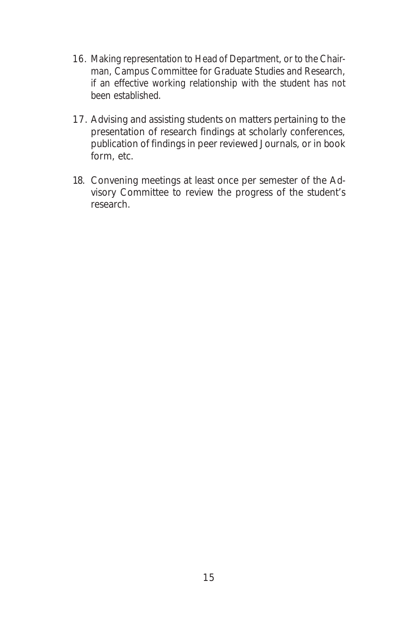- 16. Making representation to Head of Department, or to the Chairman, Campus Committee for Graduate Studies and Research, if an effective working relationship with the student has not been established.
- 17. Advising and assisting students on matters pertaining to the presentation of research findings at scholarly conferences, publication of findings in peer reviewed Journals, or in book form, etc.
- 18. Convening meetings at least once per semester of the Advisory Committee to review the progress of the student's research.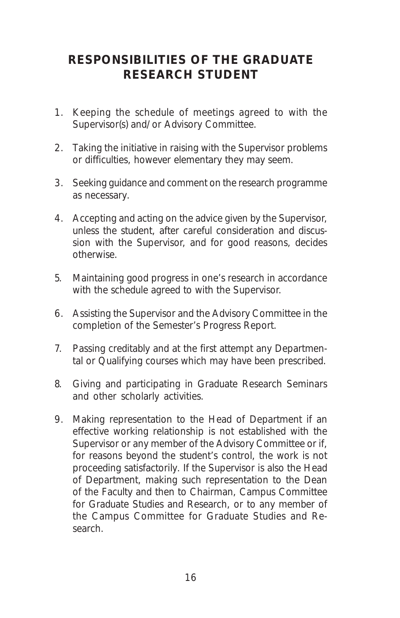### **RESPONSIBILITIES OF THE GRADUATE RESEARCH STUDENT**

- 1. Keeping the schedule of meetings agreed to with the Supervisor(s) and/or Advisory Committee.
- 2. Taking the initiative in raising with the Supervisor problems or difficulties, however elementary they may seem.
- 3. Seeking guidance and comment on the research programme as necessary.
- 4. Accepting and acting on the advice given by the Supervisor, unless the student, after careful consideration and discussion with the Supervisor, and for good reasons, decides otherwise.
- 5. Maintaining good progress in one's research in accordance with the schedule agreed to with the Supervisor.
- 6. Assisting the Supervisor and the Advisory Committee in the completion of the Semester's Progress Report.
- 7. Passing creditably and at the first attempt any Departmental or Qualifying courses which may have been prescribed.
- 8. Giving and participating in Graduate Research Seminars and other scholarly activities.
- 9. Making representation to the Head of Department if an effective working relationship is not established with the Supervisor or any member of the Advisory Committee or if, for reasons beyond the student's control, the work is not proceeding satisfactorily. If the Supervisor is also the Head of Department, making such representation to the Dean of the Faculty and then to Chairman, Campus Committee for Graduate Studies and Research, or to any member of the Campus Committee for Graduate Studies and Research.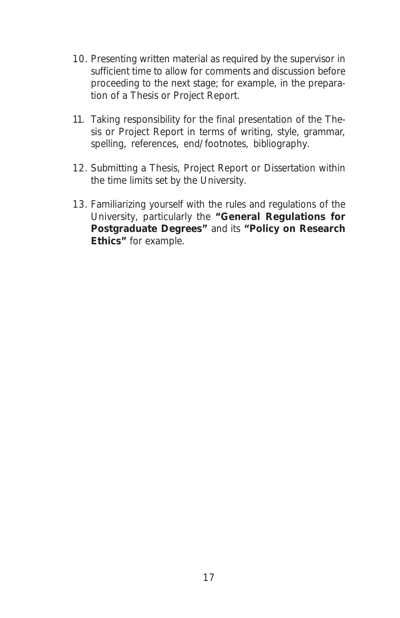- 10. Presenting written material as required by the supervisor in sufficient time to allow for comments and discussion before proceeding to the next stage; for example, in the preparation of a Thesis or Project Report.
- 11. Taking responsibility for the final presentation of the Thesis or Project Report in terms of writing, style, grammar, spelling, references, end/footnotes, bibliography.
- 12. Submitting a Thesis, Project Report or Dissertation within the time limits set by the University.
- 13. Familiarizing yourself with the rules and regulations of the University, particularly the **"General Regulations for Postgraduate Degrees"** and its **"Policy on Research Ethics"** for example.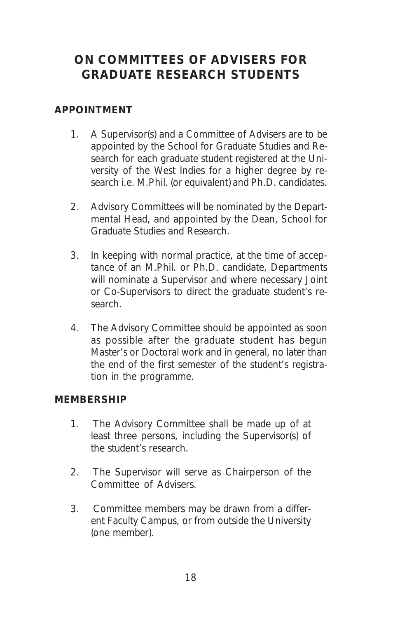### **ON COMMITTEES OF ADVISERS FOR GRADUATE RESEARCH STUDENTS**

#### **APPOINTMENT**

- 1. A Supervisor(s) and a Committee of Advisers are to be appointed by the School for Graduate Studies and Research for each graduate student registered at the University of the West Indies for a higher degree by research i.e. M.Phil. (or equivalent) and Ph.D. candidates.
- 2. Advisory Committees will be nominated by the Departmental Head, and appointed by the Dean, School for Graduate Studies and Research.
- 3. In keeping with normal practice, at the time of acceptance of an M.Phil. or Ph.D. candidate, Departments will nominate a Supervisor and where necessary Joint or Co-Supervisors to direct the graduate student's research.
- 4. The Advisory Committee should be appointed as soon as possible after the graduate student has begun Master's or Doctoral work and in general, no later than the end of the first semester of the student's registration in the programme.

#### **MEMBERSHIP**

- 1. The Advisory Committee shall be made up of at least three persons, including the Supervisor(s) of the student's research.
- 2. The Supervisor will serve as Chairperson of the Committee of Advisers.
- 3. Committee members may be drawn from a different Faculty Campus, or from outside the University (one member).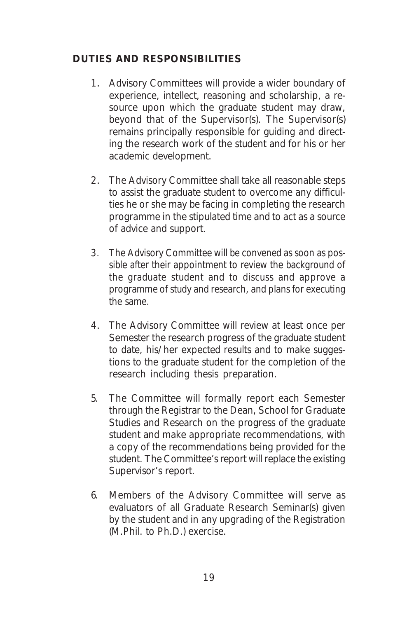#### **DUTIES AND RESPONSIBILITIES**

- 1. Advisory Committees will provide a wider boundary of experience, intellect, reasoning and scholarship, a resource upon which the graduate student may draw, beyond that of the Supervisor(s). The Supervisor(s) remains principally responsible for guiding and directing the research work of the student and for his or her academic development.
- 2. The Advisory Committee shall take all reasonable steps to assist the graduate student to overcome any difficulties he or she may be facing in completing the research programme in the stipulated time and to act as a source of advice and support.
- 3. The Advisory Committee will be convened as soon as possible after their appointment to review the background of the graduate student and to discuss and approve a programme of study and research, and plans for executing the same.
- 4. The Advisory Committee will review at least once per Semester the research progress of the graduate student to date, his/her expected results and to make suggestions to the graduate student for the completion of the research including thesis preparation.
- 5. The Committee will formally report each Semester through the Registrar to the Dean, School for Graduate Studies and Research on the progress of the graduate student and make appropriate recommendations, with a copy of the recommendations being provided for the student. The Committee's report will replace the existing Supervisor's report.
- 6. Members of the Advisory Committee will serve as evaluators of all Graduate Research Seminar(s) given by the student and in any upgrading of the Registration (M.Phil. to Ph.D.) exercise.